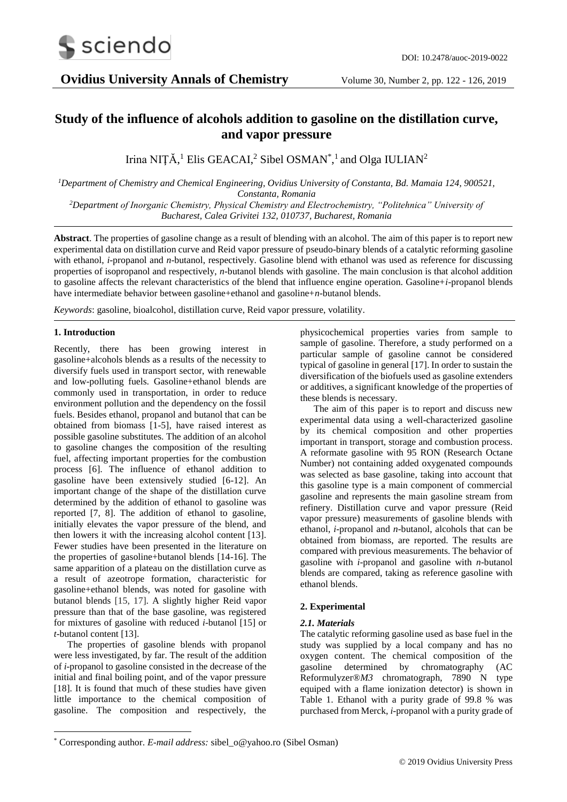

# **Study of the influence of alcohols addition to gasoline on the distillation curve, and vapor pressure**

Irina NIȚĂ,<sup>1</sup> Elis GEACAI,<sup>2</sup> Sibel OSMAN<sup>\*</sup>,<sup>1</sup> and Olga IULIAN<sup>2</sup>

*<sup>1</sup>Department of Chemistry and Chemical Engineering, Ovidius University of Constanta, Bd. Mamaia 124, 900521, Constanta, Romania <sup>2</sup>Department of Inorganic Chemistry, Physical Chemistry and Electrochemistry, "Politehnica" University of Bucharest, Calea Grivitei 132, 010737, Bucharest, Romania* 

**Abstract**. The properties of gasoline change as a result of blending with an alcohol. The aim of this paper is to report new experimental data on distillation curve and Reid vapor pressure of pseudo-binary blends of a catalytic reforming gasoline with ethanol, *i*-propanol and *n*-butanol, respectively. Gasoline blend with ethanol was used as reference for discussing properties of isopropanol and respectively, *n*-butanol blends with gasoline. The main conclusion is that alcohol addition to gasoline affects the relevant characteristics of the blend that influence engine operation. Gasoline+*i*-propanol blends have intermediate behavior between gasoline+ethanol and gasoline+*n*-butanol blends.

*Keywords*: gasoline, bioalcohol, distillation curve, Reid vapor pressure, volatility.

# **1. Introduction**

-

Recently, there has been growing interest in gasoline+alcohols blends as a results of the necessity to diversify fuels used in transport sector, with renewable and low-polluting fuels. Gasoline+ethanol blends are commonly used in transportation, in order to reduce environment pollution and the dependency on the fossil fuels. Besides ethanol, propanol and butanol that can be obtained from biomass [1-5], have raised interest as possible gasoline substitutes. The addition of an alcohol to gasoline changes the composition of the resulting fuel, affecting important properties for the combustion process [6]. The influence of ethanol addition to gasoline have been extensively studied [6-12]. An important change of the shape of the distillation curve determined by the addition of ethanol to gasoline was reported [7, 8]. The addition of ethanol to gasoline, initially elevates the vapor pressure of the blend, and then lowers it with the increasing alcohol content [13]. Fewer studies have been presented in the literature on the properties of gasoline+butanol blends [14-16]. The same apparition of a plateau on the distillation curve as a result of azeotrope formation, characteristic for gasoline+ethanol blends, was noted for gasoline with butanol blends [15, 17]. A slightly higher Reid vapor pressure than that of the base gasoline, was registered for mixtures of gasoline with reduced *i*-butanol [15] or *t*-butanol content [13].

The properties of gasoline blends with propanol were less investigated, by far. The result of the addition of *i*-propanol to gasoline consisted in the decrease of the initial and final boiling point, and of the vapor pressure [18]. It is found that much of these studies have given little importance to the chemical composition of gasoline. The composition and respectively, the

physicochemical properties varies from sample to sample of gasoline. Therefore, a study performed on a particular sample of gasoline cannot be considered typical of gasoline in general [17]. In order to sustain the diversification of the biofuels used as gasoline extenders or additives, a significant knowledge of the properties of these blends is necessary.

The aim of this paper is to report and discuss new experimental data using a well-characterized gasoline by its chemical composition and other properties important in transport, storage and combustion process. A reformate gasoline with 95 RON (Research Octane Number) not containing added oxygenated compounds was selected as base gasoline, taking into account that this gasoline type is a main component of commercial gasoline and represents the main gasoline stream from refinery. Distillation curve and vapor pressure (Reid vapor pressure) measurements of gasoline blends with ethanol, *i*-propanol and *n*-butanol, alcohols that can be obtained from biomass, are reported. The results are compared with previous measurements. The behavior of gasoline with *i*-propanol and gasoline with *n*-butanol blends are compared, taking as reference gasoline with ethanol blends.

# **2. Experimental**

# *2.1. Materials*

The catalytic reforming gasoline used as base fuel in the study was supplied by a local company and has no oxygen content. The chemical composition of the gasoline determined by chromatography (AC Reformulyzer®*M3* chromatograph, 7890 N type equiped with a flame ionization detector) is shown in Table 1. Ethanol with a purity grade of 99.8 % was purchased from Merck, *i*-propanol with a purity grade of

<sup>\*</sup> Corresponding author. *E-mail address:* sibel\_o@yahoo.ro (Sibel Osman)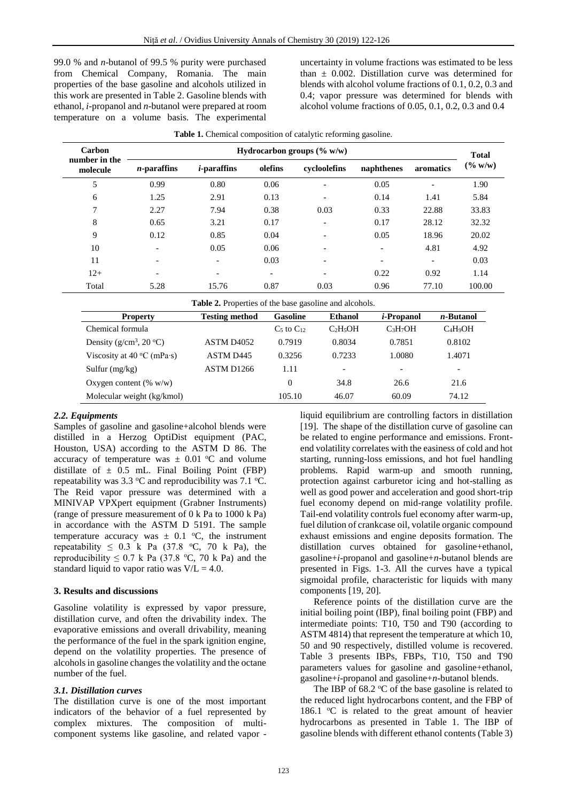99.0 % and *n*-butanol of 99.5 % purity were purchased from Chemical Company, Romania. The main properties of the base gasoline and alcohols utilized in this work are presented in Table 2. Gasoline blends with ethanol, *i*-propanol and *n*-butanol were prepared at room temperature on a volume basis. The experimental

uncertainty in volume fractions was estimated to be less than  $\pm$  0.002. Distillation curve was determined for blends with alcohol volume fractions of 0.1, 0.2, 0.3 and 0.4; vapor pressure was determined for blends with alcohol volume fractions of 0.05, 0.1, 0.2, 0.3 and 0.4

| Carbon<br>number in the | Hydrocarbon groups $(\% w/w)$ |                          |                          |                          |                          |                          | <b>Total</b> |  |
|-------------------------|-------------------------------|--------------------------|--------------------------|--------------------------|--------------------------|--------------------------|--------------|--|
| molecule                | $n$ -paraffins                | <i>i</i> -paraffins      | olefins                  | cycloolefins             | naphthenes               | aromatics                | $(\% w/w)$   |  |
| 5                       | 0.99                          | 0.80                     | 0.06                     | $\overline{\phantom{a}}$ | 0.05                     | $\overline{\phantom{a}}$ | 1.90         |  |
| 6                       | 1.25                          | 2.91                     | 0.13                     | $\overline{\phantom{a}}$ | 0.14                     | 1.41                     | 5.84         |  |
| 7                       | 2.27                          | 7.94                     | 0.38                     | 0.03                     | 0.33                     | 22.88                    | 33.83        |  |
| 8                       | 0.65                          | 3.21                     | 0.17                     | $\overline{\phantom{a}}$ | 0.17                     | 28.12                    | 32.32        |  |
| 9                       | 0.12                          | 0.85                     | 0.04                     | $\overline{\phantom{a}}$ | 0.05                     | 18.96                    | 20.02        |  |
| 10                      | $\overline{\phantom{0}}$      | 0.05                     | 0.06                     | $\qquad \qquad$          | $\overline{\phantom{a}}$ | 4.81                     | 4.92         |  |
| 11                      |                               | $\overline{\phantom{0}}$ | 0.03                     | $\overline{\phantom{0}}$ |                          | $\overline{\phantom{a}}$ | 0.03         |  |
| $12+$                   | $\overline{\phantom{0}}$      | $\overline{\phantom{0}}$ | $\overline{\phantom{0}}$ | $\overline{\phantom{0}}$ | 0.22                     | 0.92                     | 1.14         |  |
| Total                   | 5.28                          | 15.76                    | 0.87                     | 0.03                     | 0.96                     | 77.10                    | 100.00       |  |

| Table 1. Chemical composition of catalytic reforming gasoline. |  |  |  |  |
|----------------------------------------------------------------|--|--|--|--|
|----------------------------------------------------------------|--|--|--|--|

| <b>Property</b>                     | <b>Testing method</b>  | <b>Gasoline</b> | <b>Ethanol</b>                   | <i>i</i> -Propanol               | <i>n</i> -Butanol        |
|-------------------------------------|------------------------|-----------------|----------------------------------|----------------------------------|--------------------------|
| Chemical formula                    |                        | $C5$ to $C12$   | C <sub>2</sub> H <sub>5</sub> OH | C <sub>3</sub> H <sub>7</sub> OH | $C_4H_9OH$               |
| Density ( $g/cm^3$ , 20 °C)         | ASTM D <sub>4052</sub> | 0.7919          | 0.8034                           | 0.7851                           | 0.8102                   |
| Viscosity at $40^{\circ}$ C (mPa·s) | ASTM D445              | 0.3256          | 0.7233                           | 1.0080                           | 1.4071                   |
| Sulfur $(mg/kg)$                    | ASTM D1266             | 1.11            | $\overline{\phantom{a}}$         | $\overline{\phantom{a}}$         | $\overline{\phantom{0}}$ |
| Oxygen content $(\% w/w)$           |                        | $\theta$        | 34.8                             | 26.6                             | 21.6                     |
| Molecular weight (kg/kmol)          |                        | 105.10          | 46.07                            | 60.09                            | 74.12                    |

## *2.2. Equipments*

Samples of gasoline and gasoline+alcohol blends were distilled in a Herzog OptiDist equipment (PAC, Houston, USA) according to the ASTM D 86. The accuracy of temperature was  $\pm$  0.01 °C and volume distillate of  $\pm$  0.5 mL. Final Boiling Point (FBP) repeatability was  $3.3 \text{ °C}$  and reproducibility was  $7.1 \text{ °C}$ . The Reid vapor pressure was determined with a MINIVAP VPXpert equipment (Grabner Instruments) (range of pressure measurement of 0 k Pa to 1000 k Pa) in accordance with the ASTM D 5191. The sample temperature accuracy was  $\pm$  0.1 °C, the instrument repeatability  $\leq 0.3$  k Pa (37.8 °C, 70 k Pa), the reproducibility  $\leq 0.7$  k Pa (37.8 °C, 70 k Pa) and the standard liquid to vapor ratio was  $V/L = 4.0$ .

## **3. Results and discussions**

Gasoline volatility is expressed by vapor pressure, distillation curve, and often the drivability index. The evaporative emissions and overall drivability, meaning the performance of the fuel in the spark ignition engine, depend on the volatility properties. The presence of alcohols in gasoline changes the volatility and the octane number of the fuel.

#### *3.1. Distillation curves*

The distillation curve is one of the most important indicators of the behavior of a fuel represented by complex mixtures. The composition of multicomponent systems like gasoline, and related vapor -

liquid equilibrium are controlling factors in distillation [19]. The shape of the distillation curve of gasoline can be related to engine performance and emissions. Frontend volatility correlates with the easiness of cold and hot starting, running-loss emissions, and hot fuel handling problems. Rapid warm-up and smooth running, protection against carburetor icing and hot-stalling as well as good power and acceleration and good short-trip fuel economy depend on mid-range volatility profile. Tail-end volatility controls fuel economy after warm-up, fuel dilution of crankcase oil, volatile organic compound exhaust emissions and engine deposits formation. The distillation curves obtained for gasoline+ethanol, gasoline+*i*-propanol and gasoline+*n*-butanol blends are presented in Figs. 1-3. All the curves have a typical sigmoidal profile, characteristic for liquids with many components [19, 20].

Reference points of the distillation curve are the initial boiling point (IBP), final boiling point (FBP) and intermediate points: T10, T50 and T90 (according to ASTM 4814) that represent the temperature at which 10, 50 and 90 respectively, distilled volume is recovered. Table 3 presents IBPs, FBPs, T10, T50 and T90 parameters values for gasoline and gasoline+ethanol, gasoline+*i*-propanol and gasoline+*n*-butanol blends.

The IBP of 68.2  $\degree$ C of the base gasoline is related to the reduced light hydrocarbons content, and the FBP of 186.1  $\degree$ C is related to the great amount of heavier hydrocarbons as presented in Table 1. The IBP of gasoline blends with different ethanol contents (Table 3)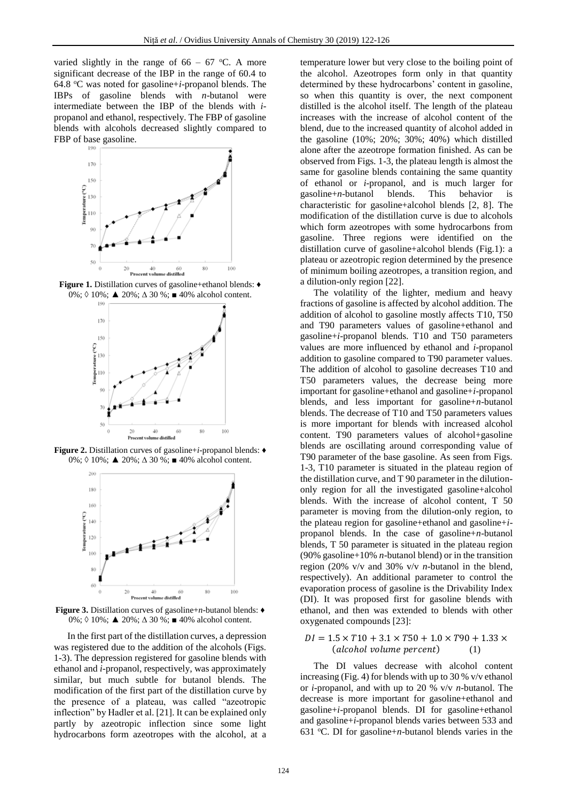varied slightly in the range of  $66 - 67$  °C. A more significant decrease of the IBP in the range of 60.4 to 64.8 <sup>o</sup>C was noted for gasoline+*i*-propanol blends. The IBPs of gasoline blends with *n*-butanol were intermediate between the IBP of the blends with *i*propanol and ethanol, respectively. The FBP of gasoline blends with alcohols decreased slightly compared to FBP of base gasoline.



**Figure 1.** Distillation curves of gasoline+ethanol blends: ♦ 0%; 0 10%; **▲** 20%; ∆ 30 %; ■ 40% alcohol content.



**Figure 2.** Distillation curves of gasoline+*i*-propanol blends: ♦ 0%; ◊ 10%; ▲ 20%; ∆ 30 %; ■ 40% alcohol content.



**Figure 3.** Distillation curves of gasoline+*n*-butanol blends: ♦ 0%; ◊ 10%; ▲ 20%; ∆ 30 %; ■ 40% alcohol content.

In the first part of the distillation curves, a depression was registered due to the addition of the alcohols (Figs. 1-3). The depression registered for gasoline blends with ethanol and *i*-propanol, respectively, was approximately similar, but much subtle for butanol blends. The modification of the first part of the distillation curve by the presence of a plateau, was called "azeotropic inflection" by Hadler et al. [21]. It can be explained only partly by azeotropic inflection since some light hydrocarbons form azeotropes with the alcohol, at a

temperature lower but very close to the boiling point of the alcohol. Azeotropes form only in that quantity determined by these hydrocarbons' content in gasoline, so when this quantity is over, the next component distilled is the alcohol itself. The length of the plateau increases with the increase of alcohol content of the blend, due to the increased quantity of alcohol added in the gasoline (10%; 20%; 30%; 40%) which distilled alone after the azeotrope formation finished. As can be observed from Figs. 1-3, the plateau length is almost the same for gasoline blends containing the same quantity of ethanol or *i*-propanol, and is much larger for gasoline+*n*-butanol blends. This behavior is characteristic for gasoline+alcohol blends [2, 8]. The modification of the distillation curve is due to alcohols which form azeotropes with some hydrocarbons from gasoline. Three regions were identified on the distillation curve of gasoline+alcohol blends (Fig.1): a plateau or azeotropic region determined by the presence of minimum boiling azeotropes, a transition region, and a dilution-only region [22].

The volatility of the lighter, medium and heavy fractions of gasoline is affected by alcohol addition. The addition of alcohol to gasoline mostly affects T10, T50 and T90 parameters values of gasoline+ethanol and gasoline+*i*-propanol blends. T10 and T50 parameters values are more influenced by ethanol and *i*-propanol addition to gasoline compared to T90 parameter values. The addition of alcohol to gasoline decreases T10 and T50 parameters values, the decrease being more important for gasoline+ethanol and gasoline+*i*-propanol blends, and less important for gasoline+*n*-butanol blends. The decrease of T10 and T50 parameters values is more important for blends with increased alcohol content. T90 parameters values of alcohol+gasoline blends are oscillating around corresponding value of T90 parameter of the base gasoline. As seen from Figs. 1-3, T10 parameter is situated in the plateau region of the distillation curve, and T 90 parameter in the dilutiononly region for all the investigated gasoline+alcohol blends. With the increase of alcohol content, T 50 parameter is moving from the dilution-only region, to the plateau region for gasoline+ethanol and gasoline+*i*propanol blends. In the case of gasoline+*n*-butanol blends, T 50 parameter is situated in the plateau region (90% gasoline+10% *n*-butanol blend) or in the transition region (20% v/v and 30% v/v *n*-butanol in the blend, respectively). An additional parameter to control the evaporation process of gasoline is the Drivability Index (DI). It was proposed first for gasoline blends with ethanol, and then was extended to blends with other oxygenated compounds [23]:

#### $DI = 1.5 \times T10 + 3.1 \times T50 + 1.0 \times T90 + 1.33 \times T10$  $(alcohol volume percent)$  (1)

The DI values decrease with alcohol content increasing (Fig. 4) for blends with up to 30 % v/v ethanol or *i*-propanol, and with up to 20 % v/v *n*-butanol. The decrease is more important for gasoline+ethanol and gasoline+*i*-propanol blends. DI for gasoline+ethanol and gasoline+*i*-propanol blends varies between 533 and 631 °C. DI for gasoline+*n*-butanol blends varies in the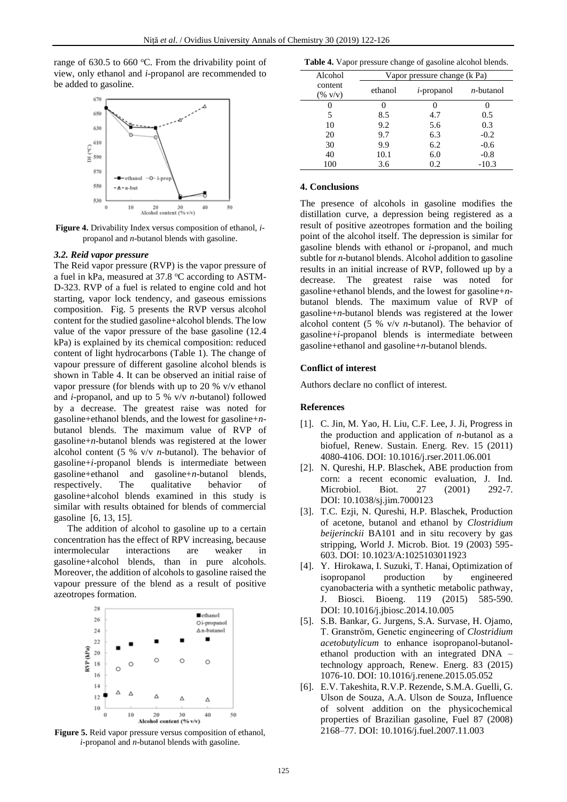range of  $630.5$  to  $660$  °C. From the drivability point of view, only ethanol and *i*-propanol are recommended to be added to gasoline.



**Figure 4.** Drivability Index versus composition of ethanol, *i*propanol and *n*-butanol blends with gasoline.

#### *3.2. Reid vapor pressure*

The Reid vapor pressure (RVP) is the vapor pressure of a fuel in kPa, measured at 37.8 °C according to ASTM-D-323. RVP of a fuel is related to engine cold and hot starting, vapor lock tendency, and gaseous emissions composition. Fig. 5 presents the RVP versus alcohol content for the studied gasoline+alcohol blends. The low value of the vapor pressure of the base gasoline (12.4 kPa) is explained by its chemical composition: reduced content of light hydrocarbons (Table 1). The change of vapour pressure of different gasoline alcohol blends is shown in Table 4. It can be observed an initial raise of vapor pressure (for blends with up to 20 % v/v ethanol and *i*-propanol, and up to 5 % v/v *n*-butanol) followed by a decrease. The greatest raise was noted for gasoline+ethanol blends, and the lowest for gasoline+*n*butanol blends. The maximum value of RVP of gasoline+*n*-butanol blends was registered at the lower alcohol content (5 % v/v *n*-butanol). The behavior of gasoline+*i*-propanol blends is intermediate between gasoline+ethanol and gasoline+*n*-butanol blends, respectively. The qualitative behavior of gasoline+alcohol blends examined in this study is similar with results obtained for blends of commercial gasoline [6, 13, 15].

The addition of alcohol to gasoline up to a certain concentration has the effect of RPV increasing, because intermolecular interactions are weaker in gasoline+alcohol blends, than in pure alcohols. Moreover, the addition of alcohols to gasoline raised the vapour pressure of the blend as a result of positive azeotropes formation.



**Figure 5.** Reid vapor pressure versus composition of ethanol, *i*-propanol and *n*-butanol blends with gasoline.

| Table 4. Vapor pressure change of gasoline alcohol blends. |  |  |
|------------------------------------------------------------|--|--|
|------------------------------------------------------------|--|--|

| Alcohol                                  | Vapor pressure change (k Pa) |               |              |  |
|------------------------------------------|------------------------------|---------------|--------------|--|
| content<br>$(\% \, \text{V} / \text{V})$ | ethanol                      | $i$ -propanol | $n$ -butanol |  |
|                                          |                              |               |              |  |
| 5                                        | 8.5                          | 4.7           | 0.5          |  |
| 10                                       | 9.2                          | 5.6           | 0.3          |  |
| 20                                       | 9.7                          | 6.3           | $-0.2$       |  |
| 30                                       | 9.9                          | 6.2           | $-0.6$       |  |
| 40                                       | 10.1                         | 6.0           | $-0.8$       |  |
| 100                                      | 3.6                          | 0.2           | $-10.3$      |  |

## **4. Conclusions**

The presence of alcohols in gasoline modifies the distillation curve, a depression being registered as a result of positive azeotropes formation and the boiling point of the alcohol itself. The depression is similar for gasoline blends with ethanol or *i*-propanol, and much subtle for *n*-butanol blends. Alcohol addition to gasoline results in an initial increase of RVP, followed up by a decrease. The greatest raise was noted for gasoline+ethanol blends, and the lowest for gasoline+*n*butanol blends. The maximum value of RVP of gasoline+*n*-butanol blends was registered at the lower alcohol content (5 % v/v *n*-butanol). The behavior of gasoline+*i*-propanol blends is intermediate between gasoline+ethanol and gasoline+*n*-butanol blends.

## **Conflict of interest**

Authors declare no conflict of interest.

#### **References**

- [1]. C. Jin, M. Yao, H. Liu, C.F. Lee, J. Ji, Progress in the production and application of *n*-butanol as a biofuel, Renew. Sustain. Energ. Rev. 15 (2011) 4080-4106. DOI: 10.1016/j.rser.2011.06.001
- [2]. N. Qureshi, H.P. Blaschek, ABE production from corn: a recent economic evaluation, J. Ind. Microbiol. Biot. 27 (2001) 292-7. DOI: 10.1038/sj.jim.7000123
- [3]. T.C. Ezji, N. Qureshi, H.P. Blaschek, Production of acetone, butanol and ethanol by *Clostridium beijerinckii* BA101 and in situ recovery by gas stripping, World J. Microb. Biot. 19 (2003) 595- 603. DOI: 10.1023/A:1025103011923
- [4]. Y. Hirokawa, I. Suzuki, T. Hanai, Optimization of isopropanol production by engineered cyanobacteria with a synthetic metabolic pathway, J. Biosci. Bioeng. 119 (2015) 585-590. DOI: 10.1016/j.jbiosc.2014.10.005
- [5]. S.B. Bankar, G. Jurgens, S.A. Survase, H. Ojamo, T. Granstrӧm, Genetic engineering of *Clostridium acetobutylicum* to enhance isopropanol-butanolethanol production with an integrated DNA – technology approach, Renew. Energ. 83 (2015) 1076-10. DOI: 10.1016/j.renene.2015.05.052
- [6]. E.V. Takeshita, R.V.P. Rezende, S.M.A. Guelli, G. Ulson de Souza, A.A. Ulson de Souza, Influence of solvent addition on the physicochemical properties of Brazilian gasoline, Fuel 87 (2008) 2168–77. DOI: 10.1016/j.fuel.2007.11.003